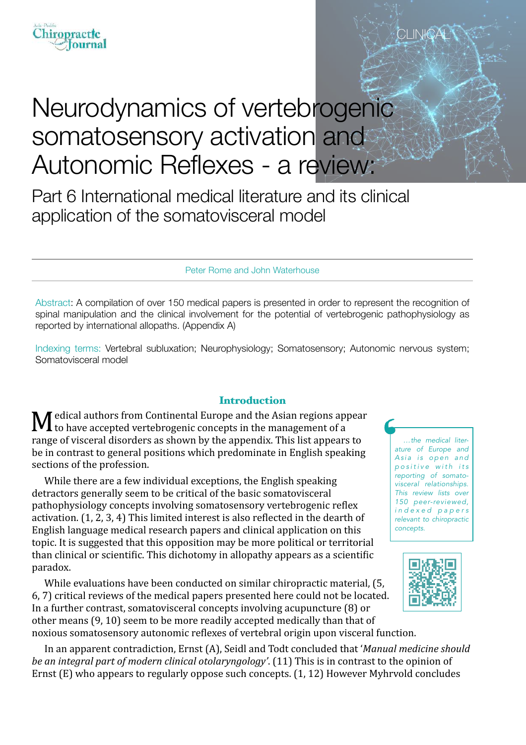

# Neurodynamics of vertebrogenic somatosensory activation and Autonomic Reflexes - a review:

Part 6 International medical literature and its clinical application of the somatovisceral model

Peter Rome and John Waterhouse

Abstract: A compilation of over 150 medical papers is presented in order to represent the recognition of spinal manipulation and the clinical involvement for the potential of vertebrogenic pathophysiology as reported by international allopaths. (Appendix A)

Indexing terms: Vertebral subluxation; Neurophysiology; Somatosensory; Autonomic nervous system; Somatovisceral model

#### **Introduction**

 $\blacksquare$  edical authors from Continental Europe and the Asian regions appear to have accepted vertebrogenic concepts in the management of a range of visceral disorders as shown by the appendix. This list appears to be in contrast to general positions which predominate in English speaking sections of the profession.

While there are a few individual exceptions, the English speaking detractors generally seem to be critical of the basic somatovisceral pathophysiology concepts involving somatosensory vertebrogenic reflex activation.  $(1, 2, 3, 4)$  This limited interest is also reflected in the dearth of English language medical research papers and clinical application on this topic. It is suggested that this opposition may be more political or territorial than clinical or scientific. This dichotomy in allopathy appears as a scientific paradox.

While evaluations have been conducted on similar chiropractic material, (5, 6, 7) critical reviews of the medical papers presented here could not be located. In a further contrast, somatovisceral concepts involving acupuncture (8) or other means  $(9, 10)$  seem to be more readily accepted medically than that of noxious somatosensory autonomic reflexes of vertebral origin upon visceral function.

In an apparent contradiction, Ernst (A), Seidl and Todt concluded that '*Manual medicine should be an integral part of modern clinical otolaryngology'.* (11) This is in contrast to the opinion of Ernst  $(E)$  who appears to regularly oppose such concepts.  $(1, 12)$  However Myhrvold concludes

*…the medical literature of Europe and*  Asia is open and *p o s i t i v e w i t h i t s reporting of somatovisceral relationships. This review lists over 150 peer-reviewed, i n d e x e d p a p e r s relevant to chiropractic concepts.*

CLIN<del>I</del>C



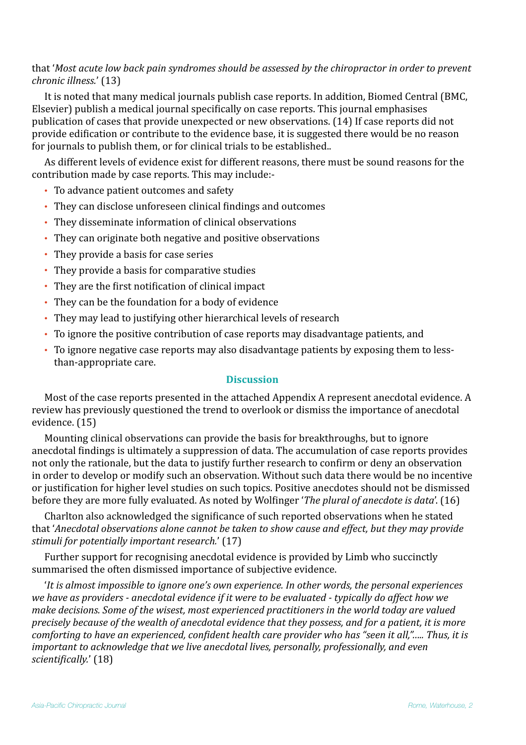# that 'Most acute low back pain syndromes should be assessed by the chiropractor in order to prevent *chronic illness.'* (13)

It is noted that many medical journals publish case reports. In addition, Biomed Central (BMC, Elsevier) publish a medical journal specifically on case reports. This journal emphasises publication of cases that provide unexpected or new observations. (14) If case reports did not provide edification or contribute to the evidence base, it is suggested there would be no reason for journals to publish them, or for clinical trials to be established..

As different levels of evidence exist for different reasons, there must be sound reasons for the contribution made by case reports. This may include:-

- To advance patient outcomes and safety
- They can disclose unforeseen clinical findings and outcomes
- They disseminate information of clinical observations
- They can originate both negative and positive observations
- They provide a basis for case series
- They provide a basis for comparative studies
- They are the first notification of clinical impact
- They can be the foundation for a body of evidence
- They may lead to justifying other hierarchical levels of research
- To ignore the positive contribution of case reports may disadvantage patients, and
- To ignore negative case reports may also disadvantage patients by exposing them to lessthan-appropriate care.

# **Discussion**

Most of the case reports presented in the attached Appendix A represent anecdotal evidence. A review has previously questioned the trend to overlook or dismiss the importance of anecdotal evidence. (15)

Mounting clinical observations can provide the basis for breakthroughs, but to ignore anecdotal findings is ultimately a suppression of data. The accumulation of case reports provides not only the rationale, but the data to justify further research to confirm or deny an observation in order to develop or modify such an observation. Without such data there would be no incentive or justification for higher level studies on such topics. Positive anecdotes should not be dismissed before they are more fully evaluated. As noted by Wolfinger *The plural of anecdote is data*'. (16)

Charlton also acknowledged the significance of such reported observations when he stated that '*Anecdotal observations alone cannot be taken to show cause and effect, but they may provide* stimuli for potentially important research.' (17)

Further support for recognising anecdotal evidence is provided by Limb who succinctly summarised the often dismissed importance of subjective evidence.

'It is almost impossible to *ignore one's own experience. In other words, the personal experiences* we have as providers - anecdotal evidence if it were to be evaluated - typically do affect how we *make decisions. Some of the wisest, most experienced practitioners in the world today are valued precisely because of the wealth of anecdotal evidence that they possess, and for a patient, it is more comforting to have an experienced, confident health care provider who has "seen it all,"..... Thus, it is important to acknowledge that we live anecdotal lives, personally, professionally, and even* scientifically.' (18)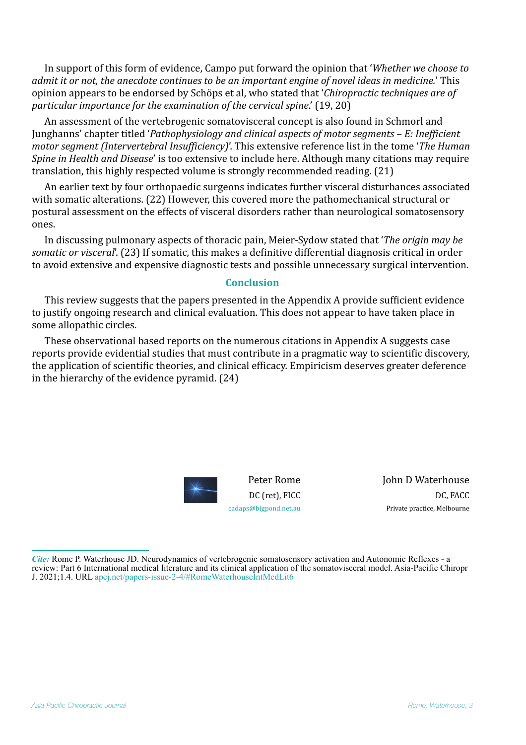In support of this form of evidence, Campo put forward the opinion that '*Whether we choose to admit it or not, the anecdote continues to be an important engine of novel ideas in medicine.*' This opinion appears to be endorsed by Schöps et al, who stated that '*Chiropractic techniques are of particular importance for the examination of the cervical spine.*' (19, 20)

An assessment of the vertebrogenic somatovisceral concept is also found in Schmorl and Junghanns' chapter titled '*Pathophysiology and clinical aspects of motor segments – E: Inefficient motor segment (Intervertebral Insufficiency)'*. This extensive reference list in the tome '*The Human Spine* in *Health* and *Disease'* is too extensive to include here. Although many citations may require translation, this highly respected volume is strongly recommended reading.  $(21)$ 

An earlier text by four orthopaedic surgeons indicates further visceral disturbances associated with somatic alterations. (22) However, this covered more the pathomechanical structural or postural assessment on the effects of visceral disorders rather than neurological somatosensory ones.

In discussing pulmonary aspects of thoracic pain, Meier-Sydow stated that *The origin may be somatic or visceral'.* (23) If somatic, this makes a definitive differential diagnosis critical in order to avoid extensive and expensive diagnostic tests and possible unnecessary surgical intervention.

#### **Conclusion**

This review suggests that the papers presented in the Appendix A provide sufficient evidence to justify ongoing research and clinical evaluation. This does not appear to have taken place in some allopathic circles.

These observational based reports on the numerous citations in Appendix A suggests case reports provide evidential studies that must contribute in a pragmatic way to scientific discovery, the application of scientific theories, and clinical efficacy. Empiricism deserves greater deference in the hierarchy of the evidence pyramid.  $(24)$ 



John D Waterhouse DC, FACC Private practice, Melbourne

*Cite:* Rome P. Waterhouse JD. Neurodynamics of vertebrogenic somatosensory activation and Autonomic Reflexes - a review: Part 6 International medical literature and its clinical application of the somatovisceral model. Asia-Pacific Chiropr J. 2021;1.4. URL [apcj.net/papers-issue-2-4/#RomeWaterhouseIntMedLit6](http://apcj.net/papers-issue-2-4/#RomeWaterhouseIntMedLit6)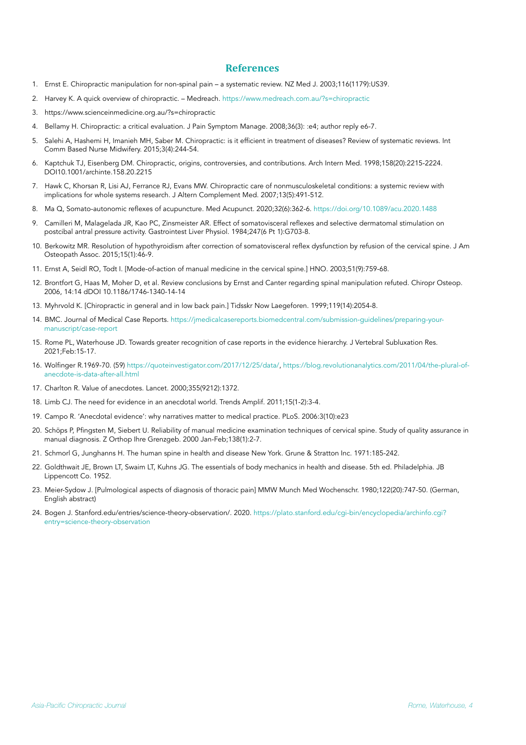#### **References**

- 1. Ernst E. Chiropractic manipulation for non-spinal pain a systematic review. NZ Med J. 2003;116(1179):US39.
- 2. Harvey K. A quick overview of chiropractic. Medreach. <https://www.medreach.com.au/?s=chiropractic>
- 3. https://www.scienceinmedicine.org.au/?s=chiropractic
- 4. Bellamy H. Chiropractic: a critical evaluation. J Pain Symptom Manage. 2008;36(3): :e4; author reply e6-7.
- 5. Salehi A, Hashemi H, Imanieh MH, Saber M. Chiropractic: is it efficient in treatment of diseases? Review of systematic reviews. Int Comm Based Nurse Midwifery. 2015;3(4):244-54.
- 6. Kaptchuk TJ, Eisenberg DM. Chiropractic, origins, controversies, and contributions. Arch Intern Med. 1998;158(20):2215-2224. DOI10.1001/archinte.158.20.2215
- 7. Hawk C, Khorsan R, Lisi AJ, Ferrance RJ, Evans MW. Chiropractic care of nonmusculoskeletal conditions: a systemic review with implications for whole systems research. J Altern Complement Med. 2007;13(5):491-512.
- 8. Ma Q, Somato-autonomic reflexes of acupuncture. Med Acupunct. 2020;32(6):362-6. <https://doi.org/10.1089/acu.2020.1488>
- 9. Camilleri M, Malagelada JR, Kao PC, Zinsmeister AR. Effect of somatovisceral reflexes and selective dermatomal stimulation on postcibal antral pressure activity. Gastrointest Liver Physiol. 1984;247(6 Pt 1):G703-8.
- 10. Berkowitz MR. Resolution of hypothyroidism after correction of somatovisceral reflex dysfunction by refusion of the cervical spine. J Am Osteopath Assoc. 2015;15(1):46-9.
- 11. Ernst A, Seidl RO, Todt I. [Mode-of-action of manual medicine in the cervical spine.] HNO. 2003;51(9):759-68.
- 12. Brontfort G, Haas M, Moher D, et al. Review conclusions by Ernst and Canter regarding spinal manipulation refuted. Chiropr Osteop. 2006, 14:14 dDOI 10.1186/1746-1340-14-14
- 13. Myhrvold K. [Chiropractic in general and in low back pain.] Tidsskr Now Laegeforen. 1999;119(14):2054-8.
- 14. BMC. Journal of Medical Case Reports. [https://jmedicalcasereports.biomedcentral.com/submission-guidelines/preparing-your](https://jmedicalcasereports.biomedcentral.com/submission-guidelines/preparing-your-manuscript/case-report)[manuscript/case-report](https://jmedicalcasereports.biomedcentral.com/submission-guidelines/preparing-your-manuscript/case-report)
- 15. Rome PL, Waterhouse JD. Towards greater recognition of case reports in the evidence hierarchy. J Vertebral Subluxation Res. 2021;Feb:15-17.
- 16. Wolfinger R.1969-70. (59) [https://quoteinvestigator.com/2017/12/25/data/,](https://quoteinvestigator.com/2017/12/25/data/) [https://blog.revolutionanalytics.com/2011/04/the-plural-of](https://blog.revolutionanalytics.com/2011/04/the-plural-of-anecdote-is-data-after-all.html)[anecdote-is-data-after-all.html](https://blog.revolutionanalytics.com/2011/04/the-plural-of-anecdote-is-data-after-all.html)
- 17. Charlton R. Value of anecdotes. Lancet. 2000;355(9212):1372.
- 18. Limb CJ. The need for evidence in an anecdotal world. Trends Amplif. 2011;15(1-2):3-4.
- 19. Campo R. 'Anecdotal evidence': why narratives matter to medical practice. PLoS. 2006:3(10):e23
- 20. Schöps P, Pfingsten M, Siebert U. Reliability of manual medicine examination techniques of cervical spine. Study of quality assurance in manual diagnosis. [Z Orthop Ihre Grenzgeb.](http://www.ncbi.nlm.nih.gov/pubmed/10730356) 2000 Jan-Feb;138(1):2-7.
- 21. Schmorl G, Junghanns H. The human spine in health and disease New York. Grune & Stratton Inc. 1971:185-242.
- 22. Goldthwait JE, Brown LT, Swaim LT, Kuhns JG. The essentials of body mechanics in health and disease. 5th ed. Philadelphia. JB Lippencott Co. 1952.
- 23. Meier-Sydow J. [Pulmological aspects of diagnosis of thoracic pain] MMW Munch Med Wochenschr. 1980;122(20):747-50. (German, English abstract)
- 24. Bogen J. Stanford.edu/entries/science-theory-observation/. 2020. [https://plato.stanford.edu/cgi-bin/encyclopedia/archinfo.cgi?](https://plato.stanford.edu/cgi-bin/encyclopedia/archinfo.cgi?entry=science-theory-observation) [entry=science-theory-observation](https://plato.stanford.edu/cgi-bin/encyclopedia/archinfo.cgi?entry=science-theory-observation)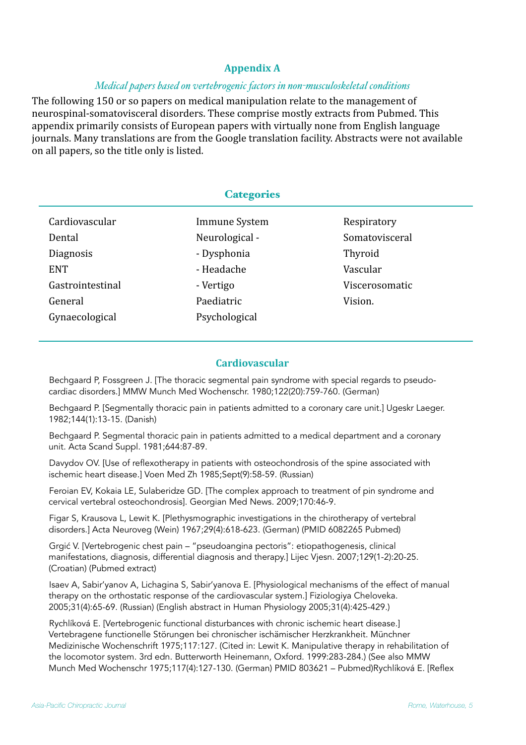# **Appendix A**

## *Medical papers based on vertebrogenic factors in non-musculoskeletal conditions*

The following 150 or so papers on medical manipulation relate to the management of neurospinal-somatovisceral disorders. These comprise mostly extracts from Pubmed. This appendix primarily consists of European papers with virtually none from English language journals. Many translations are from the Google translation facility. Abstracts were not available on all papers, so the title only is listed.

| <b>Categories</b> |                |                |
|-------------------|----------------|----------------|
| Cardiovascular    | Immune System  | Respiratory    |
| Dental            | Neurological - | Somatovisceral |
| Diagnosis         | - Dysphonia    | Thyroid        |
| <b>ENT</b>        | - Headache     | Vascular       |
| Gastrointestinal  | - Vertigo      | Viscerosomatic |
| General           | Paediatric     | Vision.        |
| Gynaecological    | Psychological  |                |

# **Cardiovascular**

Bechgaard P, Fossgreen J. [The thoracic segmental pain syndrome with special regards to pseudocardiac disorders.] MMW Munch Med Wochenschr. 1980;122(20):759-760. (German)

Bechgaard P. [Segmentally thoracic pain in patients admitted to a coronary care unit.] Ugeskr Laeger. 1982;144(1):13-15. (Danish)

Bechgaard P. Segmental thoracic pain in patients admitted to a medical department and a coronary unit. Acta Scand Suppl. 1981;644:87-89.

Davydov OV. [Use of reflexotherapy in patients with osteochondrosis of the spine associated with ischemic heart disease.] Voen Med Zh 1985;Sept(9):58-59. (Russian)

Feroian EV, Kokaia LE, Sulaberidze GD. [The complex approach to treatment of pin syndrome and cervical vertebral osteochondrosis]. Georgian Med News. 2009;170:46-9.

Figar S, Krausova L, Lewit K. [Plethysmographic investigations in the chirotherapy of vertebral disorders.] Acta Neuroveg (Wein) 1967;29(4):618-623. (German) (PMID 6082265 Pubmed)

Grgić V. [Vertebrogenic chest pain – "pseudoangina pectoris": etiopathogenesis, clinical manifestations, diagnosis, differential diagnosis and therapy.] Lijec Vjesn. 2007;129(1-2):20-25. (Croatian) (Pubmed extract)

Isaev A, Sabir'yanov A, Lichagina S, Sabir'yanova E. [Physiological mechanisms of the effect of manual therapy on the orthostatic response of the cardiovascular system.] Fiziologiya Cheloveka. 2005;31(4):65-69. (Russian) (English abstract in Human Physiology 2005;31(4):425-429.)

Rychlíková E. [Vertebrogenic functional disturbances with chronic ischemic heart disease.] Vertebragene functionelle Störungen bei chronischer ischämischer Herzkrankheit. Münchner Medizinische Wochenschrift 1975;117:127. (Cited in: Lewit K. Manipulative therapy in rehabilitation of the locomotor system. 3rd edn. Butterworth Heinemann, Oxford. 1999:283-284.) (See also MMW Munch Med Wochenschr 1975;117(4):127-130. (German) PMID 803621 – Pubmed)Rychlíková E. [Reflex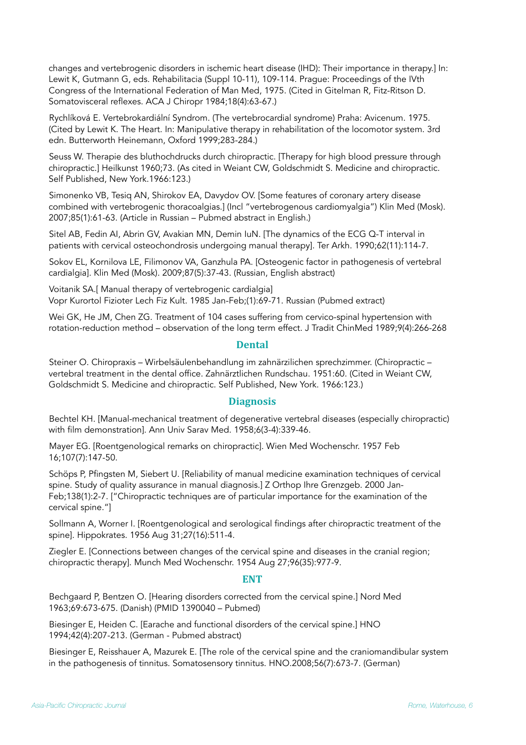changes and vertebrogenic disorders in ischemic heart disease (IHD): Their importance in therapy.] In: Lewit K, Gutmann G, eds. Rehabilitacia (Suppl 10-11), 109-114. Prague: Proceedings of the IVth Congress of the International Federation of Man Med, 1975. (Cited in Gitelman R, Fitz-Ritson D. Somatovisceral reflexes. ACA J Chiropr 1984;18(4):63-67.)

Rychlíková E. Vertebrokardiální Syndrom. (The vertebrocardial syndrome) Praha: Avicenum. 1975. (Cited by Lewit K. The Heart. In: Manipulative therapy in rehabilitation of the locomotor system. 3rd edn. Butterworth Heinemann, Oxford 1999;283-284.)

Seuss W. Therapie des bluthochdrucks durch chiropractic. [Therapy for high blood pressure through chiropractic.] Heilkunst 1960;73. (As cited in Weiant CW, Goldschmidt S. Medicine and chiropractic. Self Published, New York.1966:123.)

Simonenko VB, Tesiq AN, Shirokov EA, Davydov OV. [Some features of coronary artery disease combined with vertebrogenic thoracoalgias.] (Incl "vertebrogenous cardiomyalgia") Klin Med (Mosk). 2007;85(1):61-63. (Article in Russian – Pubmed abstract in English.)

Sitel AB, Fedin AI, Abrin GV, Avakian MN, Demin IuN. [The dynamics of the ECG Q-T interval in patients with cervical osteochondrosis undergoing manual therapy]. Ter Arkh. 1990;62(11):114-7.

Sokov EL, Kornilova LE, Filimonov VA, Ganzhula PA. [Osteogenic factor in pathogenesis of vertebral cardialgia]. Klin Med (Mosk). 2009;87(5):37-43. (Russian, English abstract)

Voitanik SA.[ Manual therapy of vertebrogenic cardialgia] Vopr Kurortol Fizioter Lech Fiz Kult. 1985 Jan-Feb;(1):69-71. Russian (Pubmed extract)

Wei GK, He JM, Chen ZG. Treatment of 104 cases suffering from cervico-spinal hypertension with rotation-reduction method – observation of the long term effect. J Tradit ChinMed 1989;9(4):266-268

#### **Dental**

Steiner O. Chiropraxis – Wirbelsäulenbehandlung im zahnärzilichen sprechzimmer. (Chiropractic – vertebral treatment in the dental office. Zahnärztlichen Rundschau. 1951:60. (Cited in Weiant CW, Goldschmidt S. Medicine and chiropractic. Self Published, New York. 1966:123.)

#### **Diagnosis**

Bechtel KH. [Manual-mechanical treatment of degenerative vertebral diseases (especially chiropractic) with film demonstration]. Ann Univ Sarav Med. 1958;6(3-4):339-46.

Mayer EG. [Roentgenological remarks on chiropractic]. Wien Med Wochenschr. 1957 Feb 16;107(7):147-50.

Schöps P, Pfingsten M, Siebert U. [Reliability of manual medicine examination techniques of cervical spine. Study of quality assurance in manual diagnosis.] Z Orthop Ihre Grenzgeb. 2000 Jan-Feb;138(1):2-7. ["Chiropractic techniques are of particular importance for the examination of the cervical spine."]

Sollmann A, Worner I. [Roentgenological and serological findings after chiropractic treatment of the spine]. Hippokrates. 1956 Aug 31;27(16):511-4.

Ziegler E. [Connections between changes of the cervical spine and diseases in the cranial region; chiropractic therapy]. Munch Med Wochenschr. 1954 Aug 27;96(35):977-9.

#### **ENT**

Bechgaard P, Bentzen O. [Hearing disorders corrected from the cervical spine.] Nord Med 1963;69:673-675. (Danish) (PMID 1390040 – Pubmed)

Biesinger E, Heiden C. [Earache and functional disorders of the cervical spine.] HNO 1994;42(4):207-213. (German - Pubmed abstract)

Biesinger E, Reisshauer A, Mazurek E. [The role of the cervical spine and the craniomandibular system in the pathogenesis of tinnitus. Somatosensory tinnitus. HNO.2008;56(7):673-7. (German)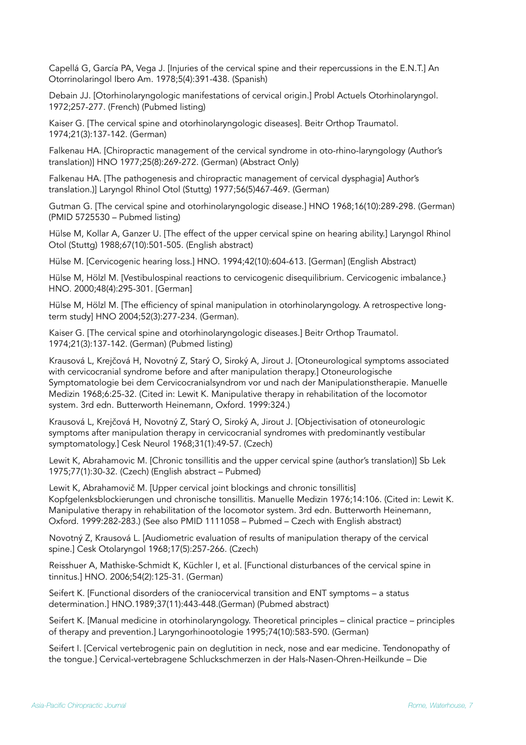Capellá G, García PA, Vega J. [Injuries of the cervical spine and their repercussions in the E.N.T.] An Otorrinolaringol Ibero Am. 1978;5(4):391-438. (Spanish)

Debain JJ. [Otorhinolaryngologic manifestations of cervical origin.] Probl Actuels Otorhinolaryngol. 1972;257-277. (French) (Pubmed listing)

Kaiser G. [The cervical spine and otorhinolaryngologic diseases]. Beitr Orthop Traumatol. 1974;21(3):137-142. (German)

Falkenau HA. [Chiropractic management of the cervical syndrome in oto-rhino-laryngology (Author's translation)] HNO 1977;25(8):269-272. (German) (Abstract Only)

Falkenau HA. [The pathogenesis and chiropractic management of cervical dysphagia] Author's translation.)] Laryngol Rhinol Otol (Stuttg) 1977;56(5)467-469. (German)

Gutman G. [The cervical spine and otorhinolaryngologic disease.] HNO 1968;16(10):289-298. (German) (PMID 5725530 – Pubmed listing)

Hülse M, Kollar A, Ganzer U. [The effect of the upper cervical spine on hearing ability.] Laryngol Rhinol Otol (Stuttg) 1988;67(10):501-505. (English abstract)

Hülse M. [Cervicogenic hearing loss.] HNO. 1994;42(10):604-613. [German] (English Abstract)

Hülse M, Hölzl M. [Vestibulospinal reactions to cervicogenic disequilibrium. Cervicogenic imbalance.} HNO. 2000;48(4):295-301. [German]

Hülse M, Hölzl M. [The efficiency of spinal manipulation in otorhinolaryngology. A retrospective longterm study] HNO 2004;52(3):277-234. (German).

Kaiser G. [The cervical spine and otorhinolaryngologic diseases.] Beitr Orthop Traumatol. 1974;21(3):137-142. (German) (Pubmed listing)

Krausová L, Krejčová H, Novotný Z, Starý O, Siroký A, Jirout J. [Otoneurological symptoms associated with cervicocranial syndrome before and after manipulation therapy.] Otoneurologische Symptomatologie bei dem Cervicocranialsyndrom vor und nach der Manipulationstherapie. Manuelle Medizin 1968;6:25-32. (Cited in: Lewit K. Manipulative therapy in rehabilitation of the locomotor system. 3rd edn. Butterworth Heinemann, Oxford. 1999:324.)

Krausová L, Krejčová H, Novotný Z, Starý O, Siroký A, Jirout J. [Objectivisation of otoneurologic symptoms after manipulation therapy in cervicocranial syndromes with predominantly vestibular symptomatology.] Cesk Neurol 1968;31(1):49-57. (Czech)

Lewit K, Abrahamovic M. [Chronic tonsillitis and the upper cervical spine (author's translation)] Sb Lek 1975;77(1):30-32. (Czech) (English abstract – Pubmed)

Lewit K, Abrahamovič M. [Upper cervical joint blockings and chronic tonsillitis] Kopfgelenksblockierungen und chronische tonsillitis. Manuelle Medizin 1976;14:106. (Cited in: Lewit K. Manipulative therapy in rehabilitation of the locomotor system. 3rd edn. Butterworth Heinemann, Oxford. 1999:282-283.) (See also PMID 1111058 – Pubmed – Czech with English abstract)

Novotný Z, Krausová L. [Audiometric evaluation of results of manipulation therapy of the cervical spine.] Cesk Otolaryngol 1968;17(5):257-266. (Czech)

Reisshuer A, Mathiske-Schmidt K, Küchler I, et al. [Functional disturbances of the cervical spine in tinnitus.] HNO. 2006;54(2):125-31. (German)

Seifert K. [Functional disorders of the craniocervical transition and ENT symptoms – a status determination.] HNO.1989;37(11):443-448.(German) (Pubmed abstract)

Seifert K. [Manual medicine in otorhinolaryngology. Theoretical principles – clinical practice – principles of therapy and prevention.] Laryngorhinootologie 1995;74(10):583-590. (German)

Seifert I. [Cervical vertebrogenic pain on deglutition in neck, nose and ear medicine. Tendonopathy of the tongue.] Cervical-vertebragene Schluckschmerzen in der Hals-Nasen-Ohren-Heilkunde – Die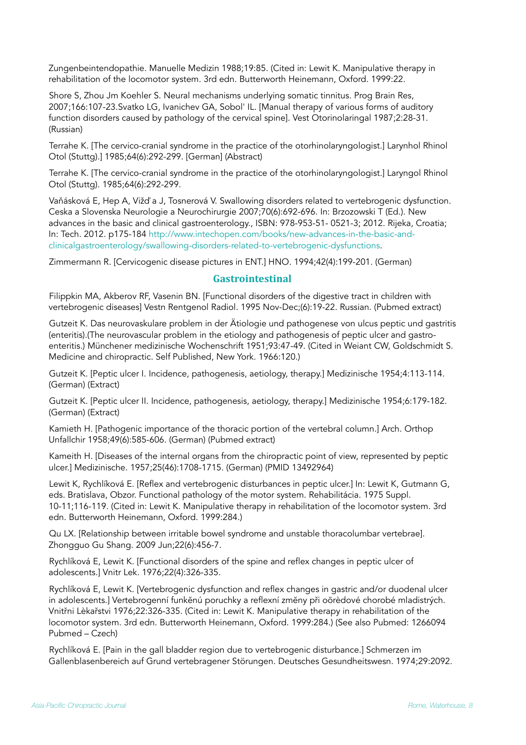Zungenbeintendopathie. Manuelle Medizin 1988;19:85. (Cited in: Lewit K. Manipulative therapy in rehabilitation of the locomotor system. 3rd edn. Butterworth Heinemann, Oxford. 1999:22.

Shore S, Zhou Jm Koehler S. Neural mechanisms underlying somatic tinnitus. Prog Brain Res, 2007;166:107-23.Svatko LG, Ivanichev GA, Sobol' IL. [Manual therapy of various forms of auditory function disorders caused by pathology of the cervical spine]. Vest Otorinolaringal 1987;2:28-31. (Russian)

Terrahe K. [The cervico-cranial syndrome in the practice of the otorhinolaryngologist.] Larynhol Rhinol Otol (Stuttg).] 1985;64(6):292-299. [German] (Abstract)

Terrahe K. [The cervico-cranial syndrome in the practice of the otorhinolaryngologist.] Laryngol Rhinol Otol (Stuttg). 1985;64(6):292-299.

Vaňásková E, Hep A, Vižď a J, Tosnerová V. Swallowing disorders related to vertebrogenic dysfunction. Ceska a Slovenska Neurologie a Neurochirurgie 2007;70(6):692-696. In: Brzozowski T (Ed.). New advances in the basic and clinical gastroenterology., ISBN: 978-953-51- 0521-3; 2012. Rijeka, Croatia; [In: Tech. 2012. p175-184 http://www.intechopen.com/books/new-advances-in-the-basic-and](http://www.intechopen.com/books/new-advances-in-the-basic-and-clinicalgastroenterology/swallowing-disorders-related-to-vertebrogenic-dysfunctions)[clinicalgastroenterology/swallowing-disorders-related-to-vertebrogenic-dysfunctions.](http://www.intechopen.com/books/new-advances-in-the-basic-and-clinicalgastroenterology/swallowing-disorders-related-to-vertebrogenic-dysfunctions)

Zimmermann R. [Cervicogenic disease pictures in ENT.] HNO. 1994;42(4):199-201. (German)

### **Gastrointestinal**

Filippkin MA, Akberov RF, Vasenin BN. [Functional disorders of the digestive tract in children with vertebrogenic diseases] Vestn Rentgenol Radiol. 1995 Nov-Dec;(6):19-22. Russian. (Pubmed extract)

Gutzeit K. Das neurovaskulare problem in der Ätiologie und pathogenese von ulcus peptic und gastritis (enteritis).(The neurovascular problem in the etiology and pathogenesis of peptic ulcer and gastroenteritis.) Münchener medizinische Wochenschrift 1951;93:47-49. (Cited in Weiant CW, Goldschmidt S. Medicine and chiropractic. Self Published, New York. 1966:120.)

Gutzeit K. [Peptic ulcer I. Incidence, pathogenesis, aetiology, therapy.] Medizinische 1954;4:113-114. (German) (Extract)

Gutzeit K. [Peptic ulcer II. Incidence, pathogenesis, aetiology, therapy.] Medizinische 1954;6:179-182. (German) (Extract)

Kamieth H. [Pathogenic importance of the thoracic portion of the vertebral column.] Arch. Orthop Unfallchir 1958;49(6):585-606. (German) (Pubmed extract)

Kameith H. [Diseases of the internal organs from the chiropractic point of view, represented by peptic ulcer.] Medizinische. 1957;25(46):1708-1715. (German) (PMID 13492964)

Lewit K, Rychlíková E. [Reflex and vertebrogenic disturbances in peptic ulcer.] In: Lewit K, Gutmann G, eds. Bratislava, Obzor. Functional pathology of the motor system. Rehabilitácia. 1975 Suppl. 10-11;116-119. (Cited in: Lewit K. Manipulative therapy in rehabilitation of the locomotor system. 3rd edn. Butterworth Heinemann, Oxford. 1999:284.)

Qu LX. [Relationship between irritable bowel syndrome and unstable thoracolumbar vertebrae]. Zhongguo Gu Shang. 2009 Jun;22(6):456-7.

Rychlíková E, Lewit K. [Functional disorders of the spine and reflex changes in peptic ulcer of adolescents.] Vnitr Lek. 1976;22(4):326-335.

Rychlíková E, Lewit K. [Vertebrogenic dysfunction and reflex changes in gastric and/or duodenal ulcer in adolescents.] Vertebrogenní funkĕnú poruchky a reflexní zmĕny při oõrèdové chorobé mladistrých. Vnitřni Lèkařstvi 1976;22:326-335. (Cited in: Lewit K. Manipulative therapy in rehabilitation of the locomotor system. 3rd edn. Butterworth Heinemann, Oxford. 1999:284.) (See also Pubmed: 1266094 Pubmed – Czech)

Rychlíková E. [Pain in the gall bladder region due to vertebrogenic disturbance.] Schmerzen im Gallenblasenbereich auf Grund vertebragener Störungen. Deutsches Gesundheitswesn. 1974;29:2092.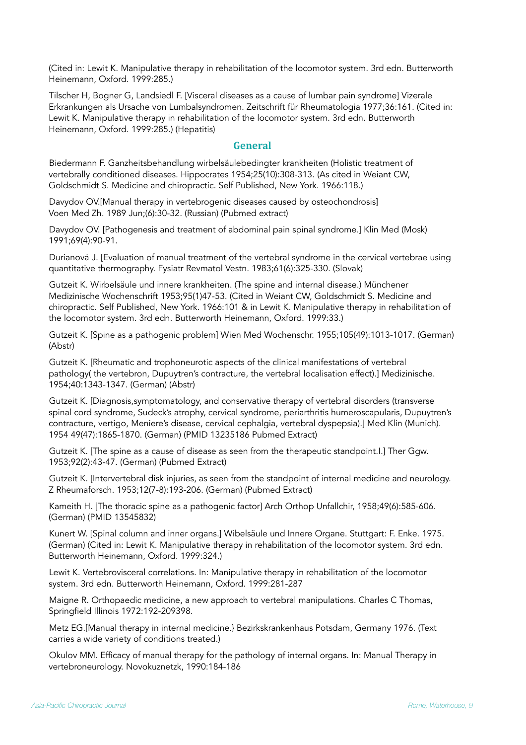(Cited in: Lewit K. Manipulative therapy in rehabilitation of the locomotor system. 3rd edn. Butterworth Heinemann, Oxford. 1999:285.)

Tilscher H, Bogner G, Landsiedl F. [Visceral diseases as a cause of lumbar pain syndrome] Vizerale Erkrankungen als Ursache von Lumbalsyndromen. Zeitschrift für Rheumatologia 1977;36:161. (Cited in: Lewit K. Manipulative therapy in rehabilitation of the locomotor system. 3rd edn. Butterworth Heinemann, Oxford. 1999:285.) (Hepatitis)

#### **General**

Biedermann F. Ganzheitsbehandlung wirbelsäulebedingter krankheiten (Holistic treatment of vertebrally conditioned diseases. Hippocrates 1954;25(10):308-313. (As cited in Weiant CW, Goldschmidt S. Medicine and chiropractic. Self Published, New York. 1966:118.)

Davydov OV.[Manual therapy in vertebrogenic diseases caused by osteochondrosis] Voen Med Zh. 1989 Jun;(6):30-32. (Russian) (Pubmed extract)

Davydov OV. [Pathogenesis and treatment of abdominal pain spinal syndrome.] Klin Med (Mosk) 1991;69(4):90-91.

Durianová J. [Evaluation of manual treatment of the vertebral syndrome in the cervical vertebrae using quantitative thermography. Fysiatr Revmatol Vestn. 1983;61(6):325-330. (Slovak)

Gutzeit K. Wirbelsäule und innere krankheiten. (The spine and internal disease.) Münchener Medizinische Wochenschrift 1953;95(1)47-53. (Cited in Weiant CW, Goldschmidt S. Medicine and chiropractic. Self Published, New York. 1966:101 & in Lewit K. Manipulative therapy in rehabilitation of the locomotor system. 3rd edn. Butterworth Heinemann, Oxford. 1999:33.)

Gutzeit K. [Spine as a pathogenic problem] Wien Med Wochenschr. 1955;105(49):1013-1017. (German) (Abstr)

Gutzeit K. [Rheumatic and trophoneurotic aspects of the clinical manifestations of vertebral pathology( the vertebron, Dupuytren's contracture, the vertebral localisation effect).] Medizinische. 1954;40:1343-1347. (German) (Abstr)

Gutzeit K. [Diagnosis,symptomatology, and conservative therapy of vertebral disorders (transverse spinal cord syndrome, Sudeck's atrophy, cervical syndrome, periarthritis humeroscapularis, Dupuytren's contracture, vertigo, Meniere's disease, cervical cephalgia, vertebral dyspepsia).] Med Klin (Munich). 1954 49(47):1865-1870. (German) (PMID 13235186 Pubmed Extract)

Gutzeit K. [The spine as a cause of disease as seen from the therapeutic standpoint.I.] Ther Ggw. 1953;92(2):43-47. (German) (Pubmed Extract)

Gutzeit K. [Intervertebral disk injuries, as seen from the standpoint of internal medicine and neurology. Z Rheumaforsch. 1953;12(7-8):193-206. (German) (Pubmed Extract)

Kameith H. [The thoracic spine as a pathogenic factor] Arch Orthop Unfallchir, 1958;49(6):585-606. (German) (PMID 13545832)

Kunert W. [Spinal column and inner organs.] Wibelsäule und Innere Organe. Stuttgart: F. Enke. 1975. (German) (Cited in: Lewit K. Manipulative therapy in rehabilitation of the locomotor system. 3rd edn. Butterworth Heinemann, Oxford. 1999:324.)

Lewit K. Vertebrovisceral correlations. In: Manipulative therapy in rehabilitation of the locomotor system. 3rd edn. Butterworth Heinemann, Oxford. 1999:281-287

Maigne R. Orthopaedic medicine, a new approach to vertebral manipulations. Charles C Thomas, Springfield Illinois 1972:192-209398.

Metz EG.[Manual therapy in internal medicine.} Bezirkskrankenhaus Potsdam, Germany 1976. (Text carries a wide variety of conditions treated.)

Okulov MM. Efficacy of manual therapy for the pathology of internal organs. In: Manual Therapy in vertebroneurology. Novokuznetzk, 1990:184-186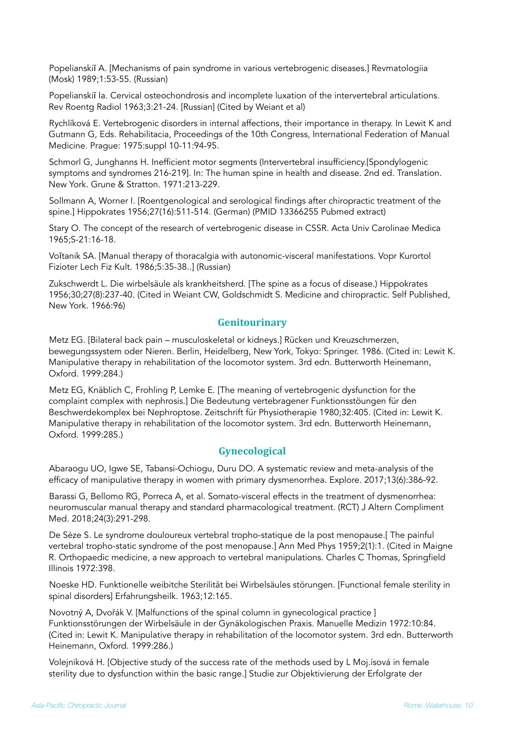Popelianskiĭ A. [Mechanisms of pain syndrome in various vertebrogenic diseases.] Revmatologiia (Mosk) 1989;1:53-55. (Russian)

Popelianskiĭ Ia. Cervical osteochondrosis and incomplete luxation of the intervertebral articulations. Rev Roentg Radiol 1963;3:21-24. [Russian] (Cited by Weiant et al)

Rychlíková E. Vertebrogenic disorders in internal affections, their importance in therapy. In Lewit K and Gutmann G, Eds. Rehabilitacia, Proceedings of the 10th Congress, International Federation of Manual Medicine. Prague: 1975:suppl 10-11:94-95.

Schmorl G, Junghanns H. Inefficient motor segments (Intervertebral insufficiency.[Spondylogenic symptoms and syndromes 216-219]. In: The human spine in health and disease. 2nd ed. Translation. New York. Grune & Stratton. 1971:213-229.

Sollmann A, Worner I. [Roentgenological and serological findings after chiropractic treatment of the spine.] Hippokrates 1956;27(16):511-514. (German) (PMID 13366255 Pubmed extract)

Stary O. The concept of the research of vertebrogenic disease in CSSR. Acta Univ Carolinae Medica 1965;S-21:16-18.

Voĭtanik SA. [Manual therapy of thoracalgia with autonomic-visceral manifestations. Vopr Kurortol Fizioter Lech Fiz Kult. 1986;5:35-38..] (Russian)

Zukschwerdt L. Die wirbelsäule als krankheitsherd. [The spine as a focus of disease.) Hippokrates 1956;30;27(8):237-40. (Cited in Weiant CW, Goldschmidt S. Medicine and chiropractic. Self Published, New York. 1966:96)

### **Genitourinary**

Metz EG. [Bilateral back pain – musculoskeletal or kidneys.] Rücken und Kreuzschmerzen, bewegungssystem oder Nieren. Berlin, Heidelberg, New York, Tokyo: Springer. 1986. (Cited in: Lewit K. Manipulative therapy in rehabilitation of the locomotor system. 3rd edn. Butterworth Heinemann, Oxford. 1999:284.)

Metz EG, Knäblich C, Frohling P, Lemke E. [The meaning of vertebrogenic dysfunction for the complaint complex with nephrosis.] Die Bedeutung vertebragener Funktionsstöungen für den Beschwerdekomplex bei Nephroptose. Zeitschrift für Physiotherapie 1980;32:405. (Cited in: Lewit K. Manipulative therapy in rehabilitation of the locomotor system. 3rd edn. Butterworth Heinemann, Oxford. 1999:285.)

# **Gynecological**

Abaraogu UO, Igwe SE, Tabansi-Ochiogu, Duru DO. A systematic review and meta-analysis of the efficacy of manipulative therapy in women with primary dysmenorrhea. Explore. 2017;13(6):386-92.

Barassi G, Bellomo RG, Porreca A, et al. Somato-visceral effects in the treatment of dysmenorrhea: neuromuscular manual therapy and standard pharmacological treatment. (RCT) J Altern Compliment Med. 2018;24(3):291-298.

De Sèze S. Le syndrome douloureux vertebral tropho-statique de la post menopause.[ The painful vertebral tropho-static syndrome of the post menopause.] Ann Med Phys 1959;2(1):1. (Cited in Maigne R. Orthopaedic medicine, a new approach to vertebral manipulations. Charles C Thomas, Springfield Illinois 1972:398.

Noeske HD. Funktionelle weibitche Sterilität bei Wirbelsäules störungen. [Functional female sterility in spinal disorders] Erfahrungsheilk. 1963;12:165.

Novotný A, Dvořák V. [Malfunctions of the spinal column in gynecological practice ] Funktionsstörungen der Wirbelsäule in der Gynäkologischen Praxis. Manuelle Medizin 1972:10:84. (Cited in: Lewit K. Manipulative therapy in rehabilitation of the locomotor system. 3rd edn. Butterworth Heinemann, Oxford. 1999:286.)

Volejniková H. [Objective study of the success rate of the methods used by L Moj.ísová in female sterility due to dysfunction within the basic range.] Studie zur Objektivierung der Erfolgrate der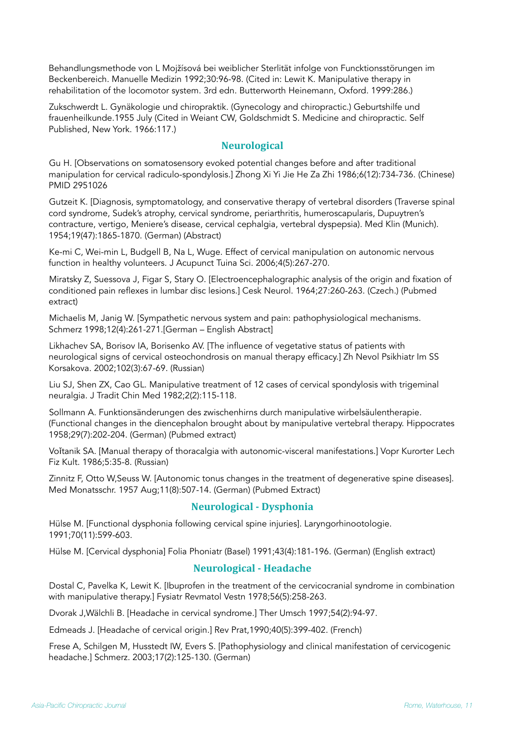Behandlungsmethode von L Mojžísová bei weiblicher Sterlität infolge von Funcktionsstörungen im Beckenbereich. Manuelle Medizin 1992;30:96-98. (Cited in: Lewit K. Manipulative therapy in rehabilitation of the locomotor system. 3rd edn. Butterworth Heinemann, Oxford. 1999:286.)

Zukschwerdt L. Gynäkologie und chiropraktik. (Gynecology and chiropractic.) Geburtshilfe und frauenheilkunde.1955 July (Cited in Weiant CW, Goldschmidt S. Medicine and chiropractic. Self Published, New York. 1966:117.)

# **Neurological**

Gu H. [Observations on somatosensory evoked potential changes before and after traditional manipulation for cervical radiculo-spondylosis.] Zhong Xi Yi Jie He Za Zhi 1986;6(12):734-736. (Chinese) PMID 2951026

Gutzeit K. [Diagnosis, symptomatology, and conservative therapy of vertebral disorders (Traverse spinal cord syndrome, Sudek's atrophy, cervical syndrome, periarthritis, humeroscapularis, Dupuytren's contracture, vertigo, Meniere's disease, cervical cephalgia, vertebral dyspepsia). Med Klin (Munich). 1954;19(47):1865-1870. (German) (Abstract)

Ke-mi C, Wei-min L, Budgell B, Na L, Wuge. Effect of cervical manipulation on autonomic nervous function in healthy volunteers. J Acupunct Tuina Sci. 2006;4(5):267-270.

Miratsky Z, Suessova J, Figar S, Stary O. [Electroencephalographic analysis of the origin and fixation of conditioned pain reflexes in lumbar disc lesions.] Cesk Neurol. 1964;27:260-263. (Czech.) (Pubmed extract)

Michaelis M, Janig W. [Sympathetic nervous system and pain: pathophysiological mechanisms. Schmerz 1998;12(4):261-271.[German – English Abstract]

Likhachev SA, Borisov IA, Borisenko AV. [The influence of vegetative status of patients with neurological signs of cervical osteochondrosis on manual therapy efficacy.] Zh Nevol Psikhiatr Im SS Korsakova. 2002;102(3):67-69. (Russian)

Liu SJ, Shen ZX, Cao GL. Manipulative treatment of 12 cases of cervical spondylosis with trigeminal neuralgia. J Tradit Chin Med 1982;2(2):115-118.

Sollmann A. Funktionsänderungen des zwischenhirns durch manipulative wirbelsäulentherapie. (Functional changes in the diencephalon brought about by manipulative vertebral therapy. Hippocrates 1958;29(7):202-204. (German) (Pubmed extract)

Voǐtanik SA. [Manual therapy of thoracalgia with autonomic-visceral manifestations.] Vopr Kurorter Lech Fiz Kult. 1986;5:35-8. (Russian)

Zinnitz F, Otto W,Seuss W. [Autonomic tonus changes in the treatment of degenerative spine diseases]. Med Monatsschr. 1957 Aug;11(8):507-14. (German) (Pubmed Extract)

# **Neurological - Dysphonia**

Hülse M. [Functional dysphonia following cervical spine injuries]. Laryngorhinootologie. 1991;70(11):599-603.

Hülse M. [Cervical dysphonia] Folia Phoniatr (Basel) 1991;43(4):181-196. (German) (English extract)

# **Neurological - Headache**

Dostal C, Pavelka K, Lewit K. [Ibuprofen in the treatment of the cervicocranial syndrome in combination with manipulative therapy.] Fysiatr Revmatol Vestn 1978;56(5):258-263.

Dvorak J,Wälchli B. [Headache in cervical syndrome.] Ther Umsch 1997;54(2):94-97.

Edmeads J. [Headache of cervical origin.] Rev Prat,1990;40(5):399-402. (French)

Frese A, Schilgen M, Husstedt IW, Evers S. [Pathophysiology and clinical manifestation of cervicogenic headache.] Schmerz. 2003;17(2):125-130. (German)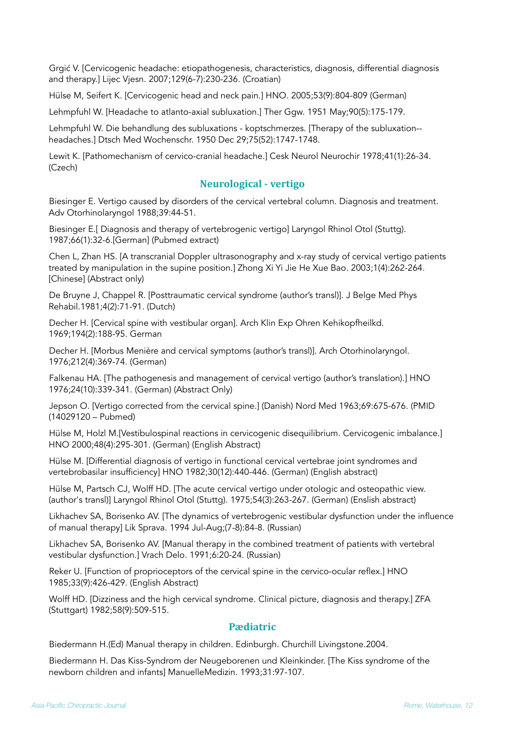Grgić V. [Cervicogenic headache: etiopathogenesis, characteristics, diagnosis, differential diagnosis and therapy.] Lijec Vjesn. 2007;129(6-7):230-236. (Croatian)

Hülse M, Seifert K. [Cervicogenic head and neck pain.] HNO. 2005;53(9):804-809 (German)

Lehmpfuhl W. [Headache to atlanto-axial subluxation.] Ther Ggw. 1951 May;90(5):175-179.

Lehmpfuhl W. Die behandlung des subluxations - koptschmerzes. [Therapy of the subluxation- headaches.] Dtsch Med Wochenschr. 1950 Dec 29;75(52):1747-1748.

Lewit K. [Pathomechanism of cervico-cranial headache.] Cesk Neurol Neurochir 1978;41(1):26-34. (Czech)

# **Neurological - vertigo**

Biesinger E. Vertigo caused by disorders of the cervical vertebral column. Diagnosis and treatment. Adv Otorhinolaryngol 1988;39:44-51.

Biesinger E.[ Diagnosis and therapy of vertebrogenic vertigo] Laryngol Rhinol Otol (Stuttg). 1987;66(1):32-6.[German] (Pubmed extract)

Chen L, Zhan HS. [A transcranial Doppler ultrasonography and x-ray study of cervical vertigo patients treated by manipulation in the supine position.] Zhong Xi Yi Jie He Xue Bao. 2003;1(4):262-264. [Chinese] (Abstract only)

De Bruyne J, Chappel R. [Posttraumatic cervical syndrome (author's transl)]. J Belge Med Phys Rehabil.1981;4(2):71-91. (Dutch)

Decher H. [Cervical spine with vestibular organ]. Arch Klin Exp Ohren Kehikopfheilkd. 1969;194(2):188-95. German

Decher H. [Morbus Menière and cervical symptoms (author's transl)]. Arch Otorhinolaryngol. 1976;212(4):369-74. (German)

Falkenau HA. [The pathogenesis and management of cervical vertigo (author's translation).] HNO 1976;24(10):339-341. (German) (Abstract Only)

Jepson O. [Vertigo corrected from the cervical spine.] (Danish) Nord Med 1963;69:675-676. (PMID (14029120 – Pubmed)

Hülse M, Holzl M.[Vestibulospinal reactions in cervicogenic disequilibrium. Cervicogenic imbalance.] HNO 2000;48(4):295-301. (German) (English Abstract)

Hülse M. [Differential diagnosis of vertigo in functional cervical vertebrae joint syndromes and vertebrobasilar insufficiency] HNO 1982;30(12):440-446. (German) (English abstract)

Hülse M, Partsch CJ, Wolff HD. [The acute cervical vertigo under otologic and osteopathic view. (author's transl)] Laryngol Rhinol Otol (Stuttg). 1975;54(3):263-267. (German) (Enslish abstract)

Likhachev SA, Borisenko AV. [The dynamics of vertebrogenic vestibular dysfunction under the influence of manual therapy] Lik Sprava. 1994 Jul-Aug;(7-8):84-8. (Russian)

Likhachev SA, Borisenko AV. [Manual therapy in the combined treatment of patients with vertebral vestibular dysfunction.] Vrach Delo. 1991;6:20-24. (Russian)

Reker U. [Function of proprioceptors of the cervical spine in the cervico-ocular reflex.] HNO 1985;33(9):426-429. (English Abstract)

Wolff HD. [Dizziness and the high cervical syndrome. Clinical picture, diagnosis and therapy.] ZFA (Stuttgart) 1982;58(9):509-515.

# **Pædiatric**

Biedermann H.(Ed) Manual therapy in children. Edinburgh. Churchill Livingstone.2004.

Biedermann H. Das Kiss-Syndrom der Neugeborenen und Kleinkinder. [The Kiss syndrome of the newborn children and infants] ManuelleMedizin. 1993;31:97-107.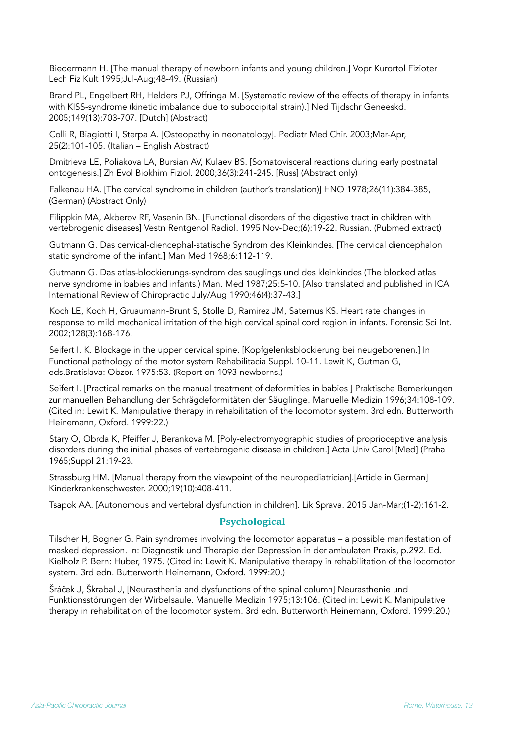Biedermann H. [The manual therapy of newborn infants and young children.] Vopr Kurortol Fizioter Lech Fiz Kult 1995;Jul-Aug;48-49. (Russian)

Brand PL, Engelbert RH, Helders PJ, Offringa M. [Systematic review of the effects of therapy in infants with KISS-syndrome (kinetic imbalance due to suboccipital strain).] Ned Tijdschr Geneeskd. 2005;149(13):703-707. [Dutch] (Abstract)

Colli R, Biagiotti I, Sterpa A. [Osteopathy in neonatology]. Pediatr Med Chir. 2003;Mar-Apr, 25(2):101-105. (Italian – English Abstract)

Dmitrieva LE, Poliakova LA, Bursian AV, Kulaev BS. [Somatovisceral reactions during early postnatal ontogenesis.] Zh Evol Biokhim Fiziol. 2000;36(3):241-245. [Russ] (Abstract only)

Falkenau HA. [The cervical syndrome in children (author's translation)] HNO 1978;26(11):384-385, (German) (Abstract Only)

Filippkin MA, Akberov RF, Vasenin BN. [Functional disorders of the digestive tract in children with vertebrogenic diseases] Vestn Rentgenol Radiol. 1995 Nov-Dec;(6):19-22. Russian. (Pubmed extract)

Gutmann G. Das cervical-diencephal-statische Syndrom des Kleinkindes. [The cervical diencephalon static syndrome of the infant.] Man Med 1968;6:112-119.

Gutmann G. Das atlas-blockierungs-syndrom des sauglings und des kleinkindes (The blocked atlas nerve syndrome in babies and infants.) Man. Med 1987;25:5-10. [Also translated and published in ICA International Review of Chiropractic July/Aug 1990;46(4):37-43.]

Koch LE, Koch H, Gruaumann-Brunt S, Stolle D, Ramirez JM, Saternus KS. Heart rate changes in response to mild mechanical irritation of the high cervical spinal cord region in infants. Forensic Sci Int. 2002;128(3):168-176.

Seifert I. K. Blockage in the upper cervical spine. [Kopfgelenksblockierung bei neugeborenen.] In Functional pathology of the motor system Rehabilitacia Suppl. 10-11. Lewit K, Gutman G, eds.Bratislava: Obzor. 1975:53. (Report on 1093 newborns.)

Seifert I. [Practical remarks on the manual treatment of deformities in babies ] Praktische Bemerkungen zur manuellen Behandlung der Schrägdeformitäten der Säuglinge. Manuelle Medizin 1996;34:108-109. (Cited in: Lewit K. Manipulative therapy in rehabilitation of the locomotor system. 3rd edn. Butterworth Heinemann, Oxford. 1999:22.)

Stary O, Obrda K, Pfeiffer J, Berankova M. [Poly-electromyographic studies of proprioceptive analysis disorders during the initial phases of vertebrogenic disease in children.] Acta Univ Carol [Med] (Praha 1965;Suppl 21:19-23.

Strassburg HM. [Manual therapy from the viewpoint of the neuropediatrician].[Article in German] Kinderkrankenschwester. 2000;19(10):408-411.

Tsapok AA. [Autonomous and vertebral dysfunction in children]. Lik Sprava. 2015 Jan-Mar;(1-2):161-2.

# **Psychological**

Tilscher H, Bogner G. Pain syndromes involving the locomotor apparatus – a possible manifestation of masked depression. In: Diagnostik und Therapie der Depression in der ambulaten Praxis, p.292. Ed. Kielholz P. Bern: Huber, 1975. (Cited in: Lewit K. Manipulative therapy in rehabilitation of the locomotor system. 3rd edn. Butterworth Heinemann, Oxford. 1999:20.)

Šráček J, Škrabal J, [Neurasthenia and dysfunctions of the spinal column] Neurasthenie und Funktionsstörungen der Wirbelsaule. Manuelle Medizin 1975;13:106. (Cited in: Lewit K. Manipulative therapy in rehabilitation of the locomotor system. 3rd edn. Butterworth Heinemann, Oxford. 1999:20.)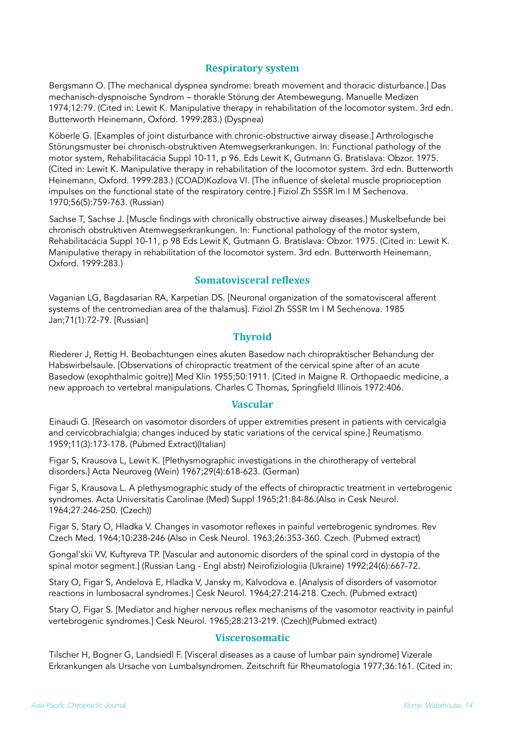### **Respiratory system**

Bergsmann O. [The mechanical dyspnea syndrome: breath movement and thoracic disturbance.] Das mechanisch-dyspnoische Syndrom – thorakle Störung der Atembewegung. Manuelle Medizen 1974;12:79. (Cited in: Lewit K. Manipulative therapy in rehabilitation of the locomotor system. 3rd edn. Butterworth Heinemann, Oxford. 1999:283.) (Dyspnea)

Köberle G. [Examples of joint disturbance with chronic-obstructive airway disease.] Arthrologische Störungsmuster bei chronisch-obstruktiven Atemwegserkrankungen. In: Functional pathology of the motor system, Rehabilitacácia Suppl 10-11, p 96. Eds Lewit K, Gutmann G. Bratislava: Obzor. 1975. (Cited in: Lewit K. Manipulative therapy in rehabilitation of the locomotor system. 3rd edn. Butterworth Heinemann, Oxford. 1999:283.) (COAD)Kozlova VI. [The influence of skeletal muscle proprioception impulses on the functional state of the respiratory centre.] Fiziol Zh SSSR Im I M Sechenova. 1970;56(5):759-763. (Russian)

Sachse T, Sachse J. [Muscle findings with chronically obstructive airway diseases.] Muskelbefunde bei chronisch obstruktiven Atemwegserkrankungen. In: Functional pathology of the motor system, Rehabilitacácia Suppl 10-11, p 98 Eds Lewit K, Gutmann G. Bratislava: Obzor. 1975. (Cited in: Lewit K. Manipulative therapy in rehabilitation of the locomotor system. 3rd edn. Butterworth Heinemann, Oxford. 1999:283.)

# **Somatovisceral reflexes**

Vaganian LG, Bagdasarian RA, Karpetian DS. [Neuronal organization of the somatovisceral afferent systems of the centromedian area of the thalamus]. Fiziol Zh SSSR Im I M Sechenova. 1985 Jan;71(1):72-79. [Russian]

### **Thyroid**

Riederer J, Rettig H. Beobachtungen eines akuten Basedow nach chiropraktischer Behandung der Habswirbelsaule. [Observations of chiropractic treatment of the cervical spine after of an acute Basedow (exophthalmic goitre)] Med Klin 1955;50:1911. (Cited in Maigne R. Orthopaedic medicine, a new approach to vertebral manipulations. Charles C Thomas, Springfield Illinois 1972:406.

#### **Vascular**

Einaudi G. [Research on vasomotor disorders of upper extremities present in patients with cervicalgia and cervicobrachialgia; changes induced by static variations of the cervical spine.] Reumatismo 1959;11(3):173-178. (Pubmed Extract)(Italian)

Figar S, Krausova L, Lewit K. [Plethysmographic investigations in the chirotherapy of vertebral disorders.] Acta Neuroveg (Wein) 1967;29(4):618-623. (German)

Figar S, Krausova L. A plethysmographic study of the effects of chiropractic treatment in vertebrogenic syndromes. Acta Universitatis Carolinae (Med) Suppl 1965;21:84-86.(Also in Cesk Neurol. 1964;27:246-250. (Czech))

Figar S, Stary O, Hladka V. Changes in vasomotor reflexes in painful vertebrogenic syndromes. Rev Czech Med. 1964;10:238-246 (Also in Cesk Neurol. 1963;26:353-360. Czech. (Pubmed extract)

Gongal'skii VV, Kuftyreva TP. [Vascular and autonomic disorders of the spinal cord in dystopia of the spinal motor segment.] (Russian Lang - Engl abstr) Neirofiziologiia (Ukraine) 1992;24(6):667-72.

Stary O, Figar S, Andelova E, Hladka V, Jansky m, Kalvodova e. [Analysis of disorders of vasomotor reactions in lumbosacral syndromes.] Cesk Neurol. 1964;27:214-218. Czech. (Pubmed extract)

Stary O, Figar S. [Mediator and higher nervous reflex mechanisms of the vasomotor reactivity in painful vertebrogenic syndromes.] Cesk Neurol. 1965;28:213-219. (Czech)(Pubmed extract)

#### **Viscerosomatic**

Tilscher H, Bogner G, Landsiedl F. [Visceral diseases as a cause of lumbar pain syndrome] Vizerale Erkrankungen als Ursache von Lumbalsyndromen. Zeitschrift für Rheumatologia 1977;36:161. (Cited in: